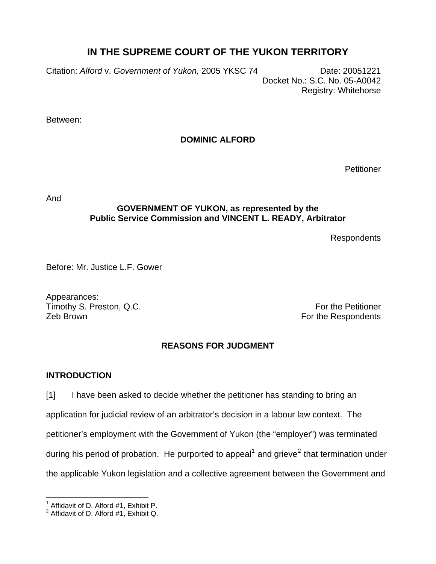# **IN THE SUPREME COURT OF THE YUKON TERRITORY**

Citation: *Alford* v. *Government of Yukon,* 2005 YKSC 74 Date: 20051221 Docket No.: S.C. No. 05-A0042 Registry: Whitehorse

Between:

## **DOMINIC ALFORD**

**Petitioner** 

And

### **GOVERNMENT OF YUKON, as represented by the Public Service Commission and VINCENT L. READY, Arbitrator**

Respondents

Before: Mr. Justice L.F. Gower

Appearances: Timothy S. Preston, Q.C. Timothy S. Preston, Q.C. Zeb Brown **For the Respondents** 

## **REASONS FOR JUDGMENT**

## **INTRODUCTION**

[1] I have been asked to decide whether the petitioner has standing to bring an application for judicial review of an arbitrator's decision in a labour law context. The petitioner's employment with the Government of Yukon (the "employer") was terminated during his period of probation. He purported to appeal<sup>[1](#page-0-0)</sup> and grieve<sup>[2](#page-0-1)</sup> that termination under the applicable Yukon legislation and a collective agreement between the Government and

l <sup>1</sup> Affidavit of D. Alford #1, Exhibit P.

<span id="page-0-1"></span><span id="page-0-0"></span> $2$  Affidavit of D. Alford #1, Exhibit Q.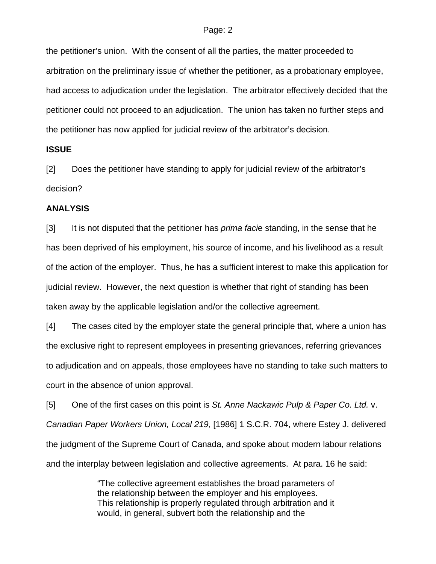the petitioner's union. With the consent of all the parties, the matter proceeded to arbitration on the preliminary issue of whether the petitioner, as a probationary employee, had access to adjudication under the legislation. The arbitrator effectively decided that the petitioner could not proceed to an adjudication. The union has taken no further steps and the petitioner has now applied for judicial review of the arbitrator's decision.

#### **ISSUE**

[2] Does the petitioner have standing to apply for judicial review of the arbitrator's decision?

#### **ANALYSIS**

[3] It is not disputed that the petitioner has *prima faci*e standing, in the sense that he has been deprived of his employment, his source of income, and his livelihood as a result of the action of the employer. Thus, he has a sufficient interest to make this application for judicial review. However, the next question is whether that right of standing has been taken away by the applicable legislation and/or the collective agreement.

[4] The cases cited by the employer state the general principle that, where a union has the exclusive right to represent employees in presenting grievances, referring grievances to adjudication and on appeals, those employees have no standing to take such matters to court in the absence of union approval.

[5] One of the first cases on this point is *St. Anne Nackawic Pulp & Paper Co. Ltd.* v. *Canadian Paper Workers Union, Local 219*, [1986] 1 S.C.R. 704, where Estey J. delivered the judgment of the Supreme Court of Canada, and spoke about modern labour relations and the interplay between legislation and collective agreements. At para. 16 he said:

> "The collective agreement establishes the broad parameters of the relationship between the employer and his employees. This relationship is properly regulated through arbitration and it would, in general, subvert both the relationship and the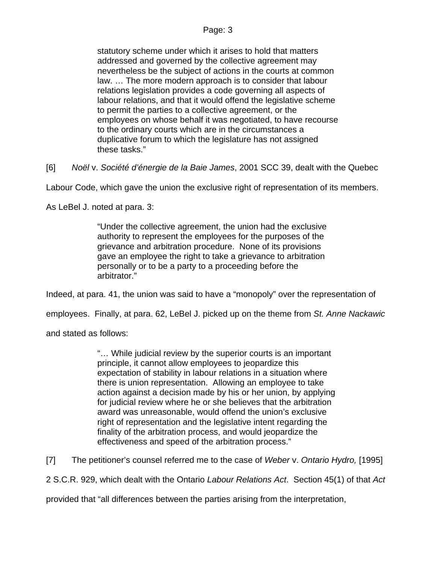statutory scheme under which it arises to hold that matters addressed and governed by the collective agreement may nevertheless be the subject of actions in the courts at common law. … The more modern approach is to consider that labour relations legislation provides a code governing all aspects of labour relations, and that it would offend the legislative scheme to permit the parties to a collective agreement, or the employees on whose behalf it was negotiated, to have recourse to the ordinary courts which are in the circumstances a duplicative forum to which the legislature has not assigned these tasks."

[6] *Noël* v. *Société d'énergie de la Baie James*, 2001 SCC 39, dealt with the Quebec

Labour Code, which gave the union the exclusive right of representation of its members.

As LeBel J. noted at para. 3:

"Under the collective agreement, the union had the exclusive authority to represent the employees for the purposes of the grievance and arbitration procedure. None of its provisions gave an employee the right to take a grievance to arbitration personally or to be a party to a proceeding before the arbitrator."

Indeed, at para. 41, the union was said to have a "monopoly" over the representation of

employees. Finally, at para. 62, LeBel J. picked up on the theme from *St. Anne Nackawic*

and stated as follows:

"… While judicial review by the superior courts is an important principle, it cannot allow employees to jeopardize this expectation of stability in labour relations in a situation where there is union representation. Allowing an employee to take action against a decision made by his or her union, by applying for judicial review where he or she believes that the arbitration award was unreasonable, would offend the union's exclusive right of representation and the legislative intent regarding the finality of the arbitration process, and would jeopardize the effectiveness and speed of the arbitration process."

[7] The petitioner's counsel referred me to the case of *Weber* v. *Ontario Hydro,* [1995]

2 S.C.R. 929, which dealt with the Ontario *Labour Relations Act*. Section 45(1) of that *Act*

provided that "all differences between the parties arising from the interpretation,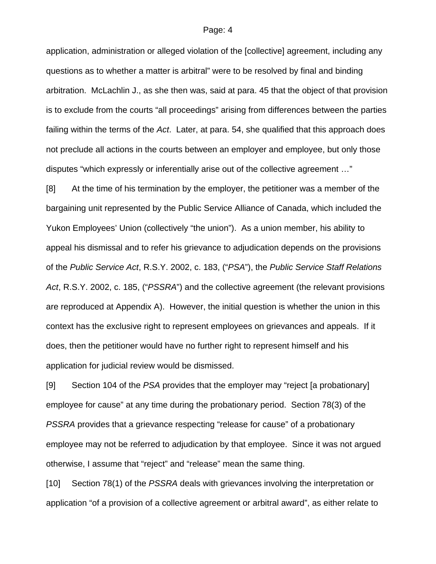application, administration or alleged violation of the [collective] agreement, including any questions as to whether a matter is arbitral" were to be resolved by final and binding arbitration. McLachlin J., as she then was, said at para. 45 that the object of that provision is to exclude from the courts "all proceedings" arising from differences between the parties failing within the terms of the *Act*. Later, at para. 54, she qualified that this approach does not preclude all actions in the courts between an employer and employee, but only those disputes "which expressly or inferentially arise out of the collective agreement …"

[8] At the time of his termination by the employer, the petitioner was a member of the bargaining unit represented by the Public Service Alliance of Canada, which included the Yukon Employees' Union (collectively "the union"). As a union member, his ability to appeal his dismissal and to refer his grievance to adjudication depends on the provisions of the *Public Service Act*, R.S.Y. 2002, c. 183, ("*PSA*"), the *Public Service Staff Relations Act*, R.S.Y. 2002, c. 185, ("*PSSRA*") and the collective agreement (the relevant provisions are reproduced at Appendix A). However, the initial question is whether the union in this context has the exclusive right to represent employees on grievances and appeals. If it does, then the petitioner would have no further right to represent himself and his application for judicial review would be dismissed.

[9] Section 104 of the *PSA* provides that the employer may "reject [a probationary] employee for cause" at any time during the probationary period. Section 78(3) of the *PSSRA* provides that a grievance respecting "release for cause" of a probationary employee may not be referred to adjudication by that employee. Since it was not argued otherwise, I assume that "reject" and "release" mean the same thing.

[10] Section 78(1) of the *PSSRA* deals with grievances involving the interpretation or application "of a provision of a collective agreement or arbitral award", as either relate to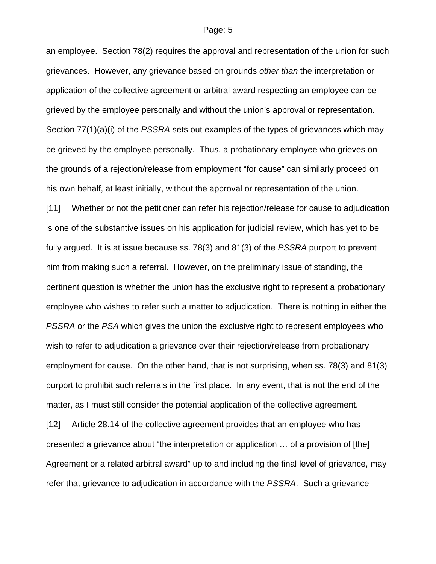an employee. Section 78(2) requires the approval and representation of the union for such grievances. However, any grievance based on grounds *other than* the interpretation or application of the collective agreement or arbitral award respecting an employee can be grieved by the employee personally and without the union's approval or representation. Section 77(1)(a)(i) of the *PSSRA* sets out examples of the types of grievances which may be grieved by the employee personally. Thus, a probationary employee who grieves on the grounds of a rejection/release from employment "for cause" can similarly proceed on his own behalf, at least initially, without the approval or representation of the union.

[11] Whether or not the petitioner can refer his rejection/release for cause to adjudication is one of the substantive issues on his application for judicial review, which has yet to be fully argued. It is at issue because ss. 78(3) and 81(3) of the *PSSRA* purport to prevent him from making such a referral. However, on the preliminary issue of standing, the pertinent question is whether the union has the exclusive right to represent a probationary employee who wishes to refer such a matter to adjudication. There is nothing in either the *PSSRA* or the *PSA* which gives the union the exclusive right to represent employees who wish to refer to adjudication a grievance over their rejection/release from probationary employment for cause. On the other hand, that is not surprising, when ss. 78(3) and 81(3) purport to prohibit such referrals in the first place. In any event, that is not the end of the matter, as I must still consider the potential application of the collective agreement.

[12] Article 28.14 of the collective agreement provides that an employee who has presented a grievance about "the interpretation or application … of a provision of [the] Agreement or a related arbitral award" up to and including the final level of grievance, may refer that grievance to adjudication in accordance with the *PSSRA*. Such a grievance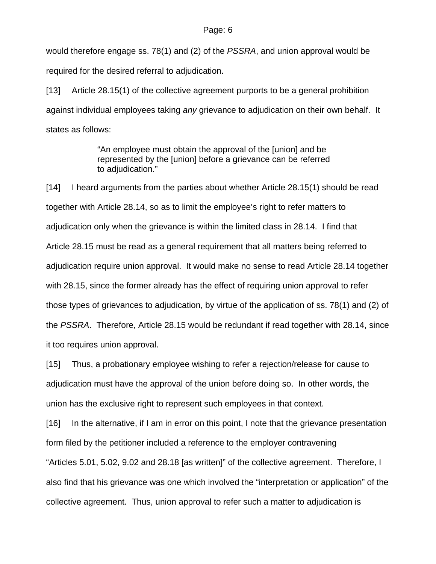would therefore engage ss. 78(1) and (2) of the *PSSRA*, and union approval would be required for the desired referral to adjudication.

[13] Article 28.15(1) of the collective agreement purports to be a general prohibition against individual employees taking *any* grievance to adjudication on their own behalf. It states as follows:

> "An employee must obtain the approval of the [union] and be represented by the [union] before a grievance can be referred to adiudication."

[14] I heard arguments from the parties about whether Article 28.15(1) should be read together with Article 28.14, so as to limit the employee's right to refer matters to adjudication only when the grievance is within the limited class in 28.14. I find that Article 28.15 must be read as a general requirement that all matters being referred to adjudication require union approval. It would make no sense to read Article 28.14 together with 28.15, since the former already has the effect of requiring union approval to refer those types of grievances to adjudication, by virtue of the application of ss. 78(1) and (2) of the *PSSRA*. Therefore, Article 28.15 would be redundant if read together with 28.14, since it too requires union approval.

[15] Thus, a probationary employee wishing to refer a rejection/release for cause to adjudication must have the approval of the union before doing so. In other words, the union has the exclusive right to represent such employees in that context.

[16] In the alternative, if I am in error on this point, I note that the grievance presentation form filed by the petitioner included a reference to the employer contravening "Articles 5.01, 5.02, 9.02 and 28.18 [as written]" of the collective agreement. Therefore, I also find that his grievance was one which involved the "interpretation or application" of the collective agreement. Thus, union approval to refer such a matter to adjudication is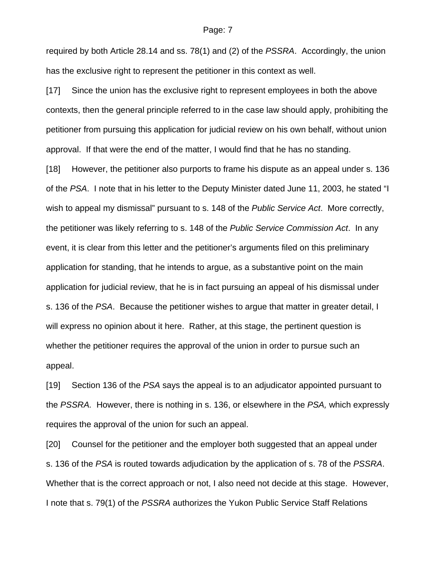required by both Article 28.14 and ss. 78(1) and (2) of the *PSSRA*. Accordingly, the union has the exclusive right to represent the petitioner in this context as well.

[17] Since the union has the exclusive right to represent employees in both the above contexts, then the general principle referred to in the case law should apply, prohibiting the petitioner from pursuing this application for judicial review on his own behalf, without union approval. If that were the end of the matter, I would find that he has no standing.

[18] However, the petitioner also purports to frame his dispute as an appeal under s. 136 of the *PSA*. I note that in his letter to the Deputy Minister dated June 11, 2003, he stated "I wish to appeal my dismissal" pursuant to s. 148 of the *Public Service Act*. More correctly, the petitioner was likely referring to s. 148 of the *Public Service Commission Act*. In any event, it is clear from this letter and the petitioner's arguments filed on this preliminary application for standing, that he intends to argue, as a substantive point on the main application for judicial review, that he is in fact pursuing an appeal of his dismissal under s. 136 of the *PSA*. Because the petitioner wishes to argue that matter in greater detail, I will express no opinion about it here. Rather, at this stage, the pertinent question is whether the petitioner requires the approval of the union in order to pursue such an appeal.

[19] Section 136 of the *PSA* says the appeal is to an adjudicator appointed pursuant to the *PSSRA.* However, there is nothing in s. 136, or elsewhere in the *PSA,* which expressly requires the approval of the union for such an appeal.

[20] Counsel for the petitioner and the employer both suggested that an appeal under s. 136 of the *PSA* is routed towards adjudication by the application of s. 78 of the *PSSRA*. Whether that is the correct approach or not, I also need not decide at this stage. However, I note that s. 79(1) of the *PSSRA* authorizes the Yukon Public Service Staff Relations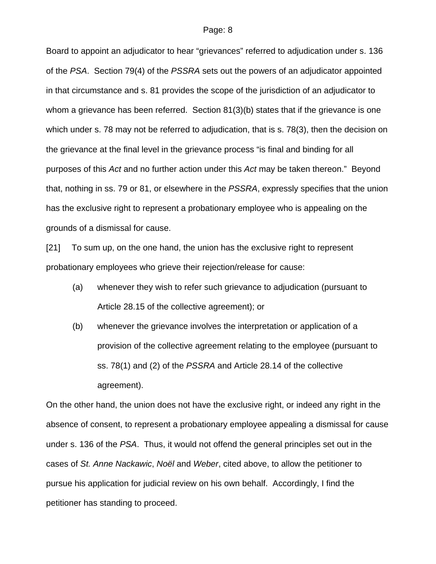Board to appoint an adjudicator to hear "grievances" referred to adjudication under s. 136 of the *PSA*. Section 79(4) of the *PSSRA* sets out the powers of an adjudicator appointed in that circumstance and s. 81 provides the scope of the jurisdiction of an adjudicator to whom a grievance has been referred. Section 81(3)(b) states that if the grievance is one which under s. 78 may not be referred to adjudication, that is s. 78(3), then the decision on the grievance at the final level in the grievance process "is final and binding for all purposes of this *Act* and no further action under this *Act* may be taken thereon." Beyond that, nothing in ss. 79 or 81, or elsewhere in the *PSSRA*, expressly specifies that the union has the exclusive right to represent a probationary employee who is appealing on the grounds of a dismissal for cause.

[21] To sum up, on the one hand, the union has the exclusive right to represent probationary employees who grieve their rejection/release for cause:

- (a) whenever they wish to refer such grievance to adjudication (pursuant to Article 28.15 of the collective agreement); or
- (b) whenever the grievance involves the interpretation or application of a provision of the collective agreement relating to the employee (pursuant to ss. 78(1) and (2) of the *PSSRA* and Article 28.14 of the collective agreement).

On the other hand, the union does not have the exclusive right, or indeed any right in the absence of consent, to represent a probationary employee appealing a dismissal for cause under s. 136 of the *PSA*. Thus, it would not offend the general principles set out in the cases of *St. Anne Nackawic*, *Noël* and *Weber*, cited above, to allow the petitioner to pursue his application for judicial review on his own behalf. Accordingly, I find the petitioner has standing to proceed.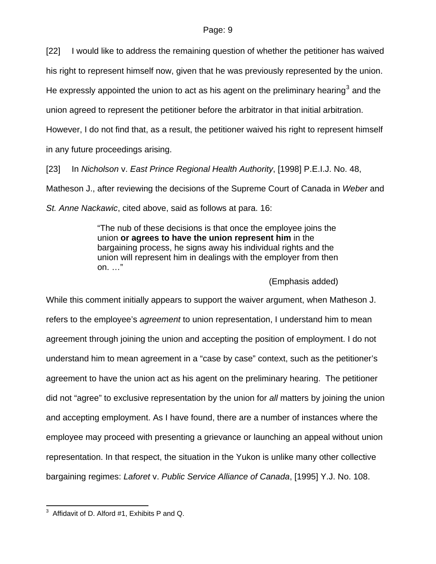[22] I would like to address the remaining question of whether the petitioner has waived his right to represent himself now, given that he was previously represented by the union.

He expressly appointed the union to act as his agent on the preliminary hearing<sup>[3](#page-8-0)</sup> and the

union agreed to represent the petitioner before the arbitrator in that initial arbitration.

However, I do not find that, as a result, the petitioner waived his right to represent himself in any future proceedings arising.

[23] In *Nicholson* v. *East Prince Regional Health Authority*, [1998] P.E.I.J. No. 48,

Matheson J., after reviewing the decisions of the Supreme Court of Canada in *Weber* and

*St. Anne Nackawic*, cited above, said as follows at para. 16:

"The nub of these decisions is that once the employee joins the union **or agrees to have the union represent him** in the bargaining process, he signs away his individual rights and the union will represent him in dealings with the employer from then on. …"

### (Emphasis added)

While this comment initially appears to support the waiver argument, when Matheson J. refers to the employee's *agreement* to union representation, I understand him to mean agreement through joining the union and accepting the position of employment. I do not understand him to mean agreement in a "case by case" context, such as the petitioner's agreement to have the union act as his agent on the preliminary hearing. The petitioner did not "agree" to exclusive representation by the union for *all* matters by joining the union and accepting employment. As I have found, there are a number of instances where the employee may proceed with presenting a grievance or launching an appeal without union representation. In that respect, the situation in the Yukon is unlike many other collective bargaining regimes: *Laforet* v. *Public Service Alliance of Canada*, [1995] Y.J. No. 108.

<span id="page-8-0"></span> 3 Affidavit of D. Alford #1, Exhibits P and Q.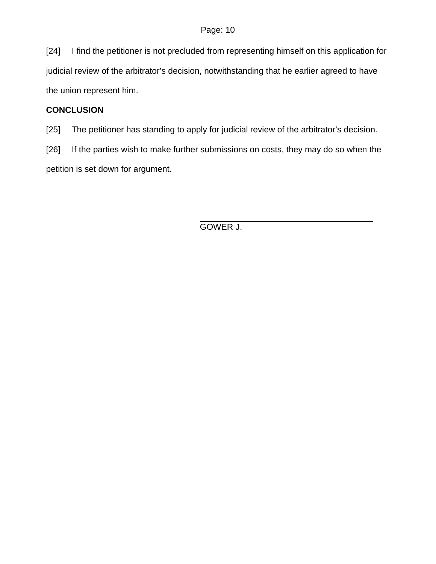[24] I find the petitioner is not precluded from representing himself on this application for judicial review of the arbitrator's decision, notwithstanding that he earlier agreed to have the union represent him.

## **CONCLUSION**

[25] The petitioner has standing to apply for judicial review of the arbitrator's decision.

[26] If the parties wish to make further submissions on costs, they may do so when the petition is set down for argument.

GOWER J.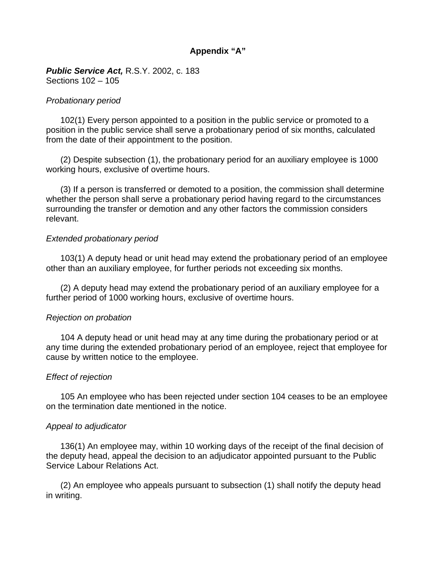## **Appendix "A"**

*Public Service Act,* R.S.Y. 2002, c. 183 Sections 102 – 105

#### *Probationary period*

 102(1) Every person appointed to a position in the public service or promoted to a position in the public service shall serve a probationary period of six months, calculated from the date of their appointment to the position.

 (2) Despite subsection (1), the probationary period for an auxiliary employee is 1000 working hours, exclusive of overtime hours.

 (3) If a person is transferred or demoted to a position, the commission shall determine whether the person shall serve a probationary period having regard to the circumstances surrounding the transfer or demotion and any other factors the commission considers relevant.

#### *Extended probationary period*

 103(1) A deputy head or unit head may extend the probationary period of an employee other than an auxiliary employee, for further periods not exceeding six months.

 (2) A deputy head may extend the probationary period of an auxiliary employee for a further period of 1000 working hours, exclusive of overtime hours.

### *Rejection on probation*

 104 A deputy head or unit head may at any time during the probationary period or at any time during the extended probationary period of an employee, reject that employee for cause by written notice to the employee.

#### *Effect of rejection*

 105 An employee who has been rejected under section 104 ceases to be an employee on the termination date mentioned in the notice.

#### *Appeal to adjudicator*

 136(1) An employee may, within 10 working days of the receipt of the final decision of the deputy head, appeal the decision to an adjudicator appointed pursuant to the Public Service Labour Relations Act.

 (2) An employee who appeals pursuant to subsection (1) shall notify the deputy head in writing.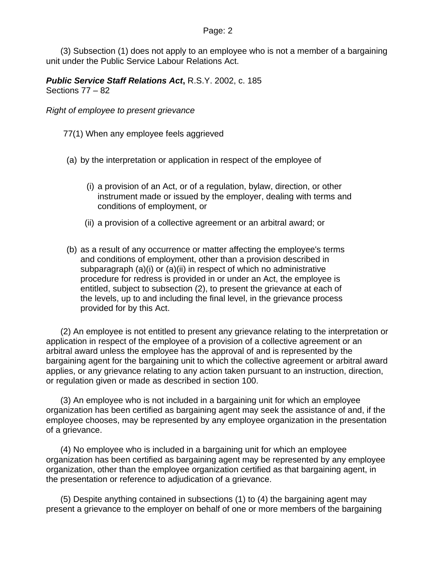(3) Subsection (1) does not apply to an employee who is not a member of a bargaining unit under the Public Service Labour Relations Act.

*Public Service Staff Relations Act***,** R.S.Y. 2002, c. 185 Sections 77 – 82

*Right of employee to present grievance*

77(1) When any employee feels aggrieved

(a) by the interpretation or application in respect of the employee of

- (i) a provision of an Act, or of a regulation, bylaw, direction, or other instrument made or issued by the employer, dealing with terms and conditions of employment, or
- (ii) a provision of a collective agreement or an arbitral award; or
- (b) as a result of any occurrence or matter affecting the employee's terms and conditions of employment, other than a provision described in subparagraph (a)(i) or (a)(ii) in respect of which no administrative procedure for redress is provided in or under an Act, the employee is entitled, subject to subsection (2), to present the grievance at each of the levels, up to and including the final level, in the grievance process provided for by this Act.

 (2) An employee is not entitled to present any grievance relating to the interpretation or application in respect of the employee of a provision of a collective agreement or an arbitral award unless the employee has the approval of and is represented by the bargaining agent for the bargaining unit to which the collective agreement or arbitral award applies, or any grievance relating to any action taken pursuant to an instruction, direction, or regulation given or made as described in section 100.

 (3) An employee who is not included in a bargaining unit for which an employee organization has been certified as bargaining agent may seek the assistance of and, if the employee chooses, may be represented by any employee organization in the presentation of a grievance.

 (4) No employee who is included in a bargaining unit for which an employee organization has been certified as bargaining agent may be represented by any employee organization, other than the employee organization certified as that bargaining agent, in the presentation or reference to adjudication of a grievance.

 (5) Despite anything contained in subsections (1) to (4) the bargaining agent may present a grievance to the employer on behalf of one or more members of the bargaining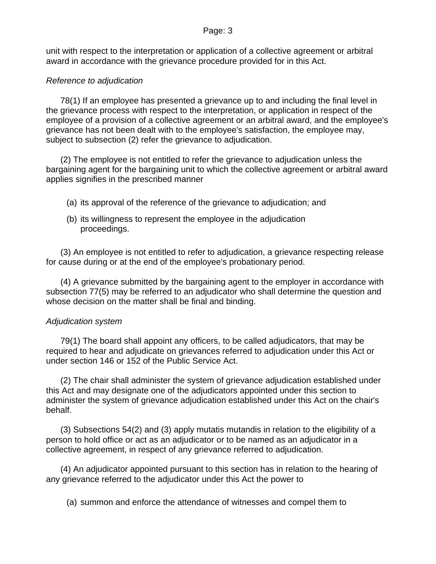unit with respect to the interpretation or application of a collective agreement or arbitral award in accordance with the grievance procedure provided for in this Act.

## *Reference to adjudication*

 78(1) If an employee has presented a grievance up to and including the final level in the grievance process with respect to the interpretation, or application in respect of the employee of a provision of a collective agreement or an arbitral award, and the employee's grievance has not been dealt with to the employee's satisfaction, the employee may, subject to subsection (2) refer the grievance to adjudication.

 (2) The employee is not entitled to refer the grievance to adjudication unless the bargaining agent for the bargaining unit to which the collective agreement or arbitral award applies signifies in the prescribed manner

- (a) its approval of the reference of the grievance to adjudication; and
- (b) its willingness to represent the employee in the adjudication proceedings.

 (3) An employee is not entitled to refer to adjudication, a grievance respecting release for cause during or at the end of the employee's probationary period.

 (4) A grievance submitted by the bargaining agent to the employer in accordance with subsection 77(5) may be referred to an adjudicator who shall determine the question and whose decision on the matter shall be final and binding.

### *Adjudication system*

 79(1) The board shall appoint any officers, to be called adjudicators, that may be required to hear and adjudicate on grievances referred to adjudication under this Act or under section 146 or 152 of the Public Service Act.

 (2) The chair shall administer the system of grievance adjudication established under this Act and may designate one of the adjudicators appointed under this section to administer the system of grievance adjudication established under this Act on the chair's behalf.

 (3) Subsections 54(2) and (3) apply mutatis mutandis in relation to the eligibility of a person to hold office or act as an adjudicator or to be named as an adjudicator in a collective agreement, in respect of any grievance referred to adjudication.

 (4) An adjudicator appointed pursuant to this section has in relation to the hearing of any grievance referred to the adjudicator under this Act the power to

(a) summon and enforce the attendance of witnesses and compel them to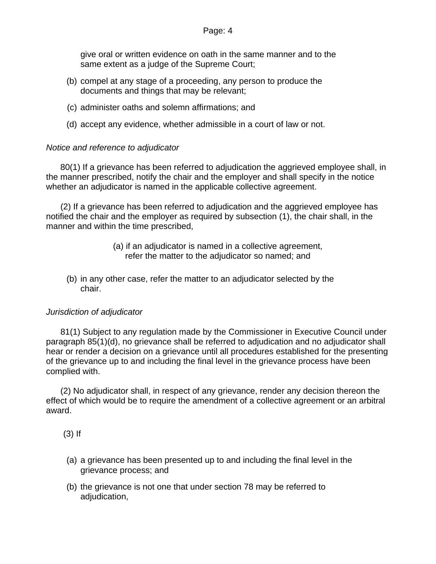give oral or written evidence on oath in the same manner and to the same extent as a judge of the Supreme Court;

- (b) compel at any stage of a proceeding, any person to produce the documents and things that may be relevant;
- (c) administer oaths and solemn affirmations; and
- (d) accept any evidence, whether admissible in a court of law or not.

## *Notice and reference to adjudicator*

 80(1) If a grievance has been referred to adjudication the aggrieved employee shall, in the manner prescribed, notify the chair and the employer and shall specify in the notice whether an adjudicator is named in the applicable collective agreement.

 (2) If a grievance has been referred to adjudication and the aggrieved employee has notified the chair and the employer as required by subsection (1), the chair shall, in the manner and within the time prescribed,

- (a) if an adjudicator is named in a collective agreement, refer the matter to the adjudicator so named; and
- (b) in any other case, refer the matter to an adjudicator selected by the chair.

### *Jurisdiction of adjudicator*

 81(1) Subject to any regulation made by the Commissioner in Executive Council under paragraph 85(1)(d), no grievance shall be referred to adjudication and no adjudicator shall hear or render a decision on a grievance until all procedures established for the presenting of the grievance up to and including the final level in the grievance process have been complied with.

 (2) No adjudicator shall, in respect of any grievance, render any decision thereon the effect of which would be to require the amendment of a collective agreement or an arbitral award.

(3) If

- (a) a grievance has been presented up to and including the final level in the grievance process; and
- (b) the grievance is not one that under section 78 may be referred to adjudication,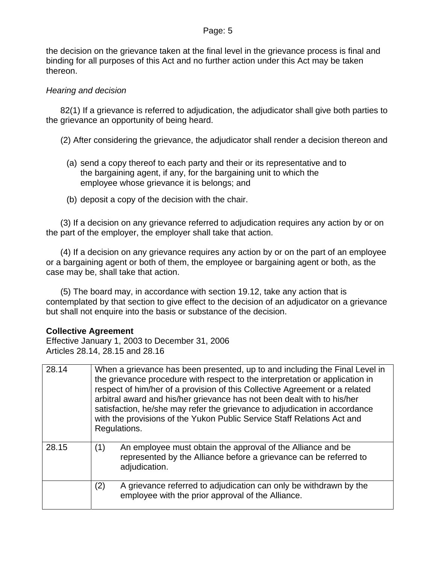the decision on the grievance taken at the final level in the grievance process is final and binding for all purposes of this Act and no further action under this Act may be taken thereon.

## *Hearing and decision*

 82(1) If a grievance is referred to adjudication, the adjudicator shall give both parties to the grievance an opportunity of being heard.

(2) After considering the grievance, the adjudicator shall render a decision thereon and

- (a) send a copy thereof to each party and their or its representative and to the bargaining agent, if any, for the bargaining unit to which the employee whose grievance it is belongs; and
- (b) deposit a copy of the decision with the chair.

 (3) If a decision on any grievance referred to adjudication requires any action by or on the part of the employer, the employer shall take that action.

 (4) If a decision on any grievance requires any action by or on the part of an employee or a bargaining agent or both of them, the employee or bargaining agent or both, as the case may be, shall take that action.

 (5) The board may, in accordance with section 19.12, take any action that is contemplated by that section to give effect to the decision of an adjudicator on a grievance but shall not enquire into the basis or substance of the decision.

### **Collective Agreement**

Effective January 1, 2003 to December 31, 2006 Articles 28.14, 28.15 and 28.16

| 28.14 | When a grievance has been presented, up to and including the Final Level in<br>the grievance procedure with respect to the interpretation or application in<br>respect of him/her of a provision of this Collective Agreement or a related<br>arbitral award and his/her grievance has not been dealt with to his/her<br>satisfaction, he/she may refer the grievance to adjudication in accordance<br>with the provisions of the Yukon Public Service Staff Relations Act and<br>Regulations. |
|-------|------------------------------------------------------------------------------------------------------------------------------------------------------------------------------------------------------------------------------------------------------------------------------------------------------------------------------------------------------------------------------------------------------------------------------------------------------------------------------------------------|
| 28.15 | (1)<br>An employee must obtain the approval of the Alliance and be<br>represented by the Alliance before a grievance can be referred to<br>adjudication.                                                                                                                                                                                                                                                                                                                                       |
|       | (2)<br>A grievance referred to adjudication can only be withdrawn by the<br>employee with the prior approval of the Alliance.                                                                                                                                                                                                                                                                                                                                                                  |